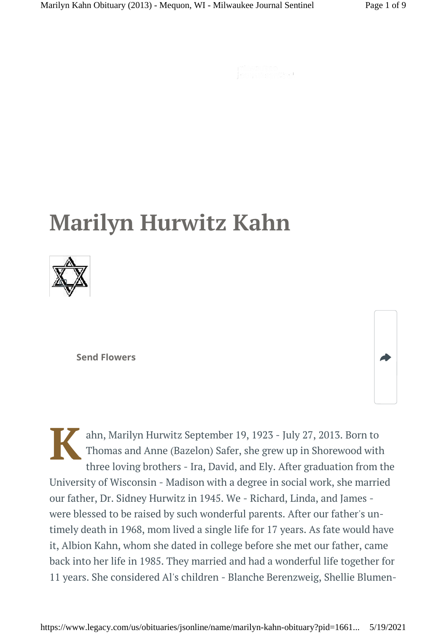$\begin{cases} \frac{1}{\sqrt{2\pi}}\left(\frac{1}{\sqrt{2\pi}}\right)^{1/2}\left(\frac{1}{\sqrt{2\pi}}\right)^{1/2}\left(\frac{1}{\sqrt{2\pi}}\right)^{1/2}\left(\frac{1}{\sqrt{2\pi}}\right)^{1/2}\left(\frac{1}{\sqrt{2\pi}}\right)^{1/2}\left(\frac{1}{\sqrt{2\pi}}\right)^{1/2}\left(\frac{1}{\sqrt{2\pi}}\right)^{1/2}\left(\frac{1}{\sqrt{2\pi}}\right)^{1/2}\left(\frac{1}{\sqrt{2\pi}}\right)^{1/2}\left(\frac{1}{\sqrt{2\pi}}$ 

# **Marilyn Hurwitz Kahn**



**Send Flowers**

**K** ahn, Marilyn Hurwitz September 19, 1923 - July 27, 2013. Born to Thomas and Anne (Bazelon) Safer, she grew up in Shorewood with three loving brothers - Ira, David, and Ely. After graduation from the University of Wisconsin - Madison with a degree in social work, she married our father, Dr. Sidney Hurwitz in 1945. We - Richard, Linda, and James were blessed to be raised by such wonderful parents. After our father's untimely death in 1968, mom lived a single life for 17 years. As fate would have it, Albion Kahn, whom she dated in college before she met our father, came back into her life in 1985. They married and had a wonderful life together for 11 years. She considered Al's children - Blanche Berenzweig, Shellie Blumen-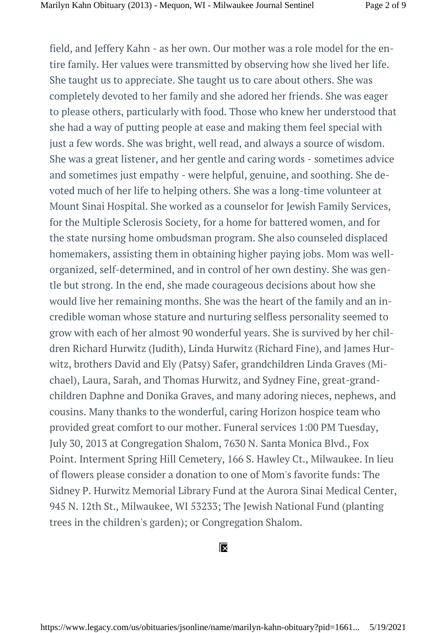field, and Jeffery Kahn - as her own. Our mother was a role model for the entire family. Her values were transmitted by observing how she lived her life. She taught us to appreciate. She taught us to care about others. She was completely devoted to her family and she adored her friends. She was eager to please others, particularly with food. Those who knew her understood that she had a way of putting people at ease and making them feel special with just a few words. She was bright, well read, and always a source of wisdom. She was a great listener, and her gentle and caring words - sometimes advice and sometimes just empathy - were helpful, genuine, and soothing. She devoted much of her life to helping others. She was a long-time volunteer at Mount Sinai Hospital. She worked as a counselor for Jewish Family Services, for the Multiple Sclerosis Society, for a home for battered women, and for the state nursing home ombudsman program. She also counseled displaced homemakers, assisting them in obtaining higher paying jobs. Mom was wellorganized, self-determined, and in control of her own destiny. She was gentle but strong. In the end, she made courageous decisions about how she would live her remaining months. She was the heart of the family and an incredible woman whose stature and nurturing selfless personality seemed to grow with each of her almost 90 wonderful years. She is survived by her children Richard Hurwitz (Judith), Linda Hurwitz (Richard Fine), and James Hurwitz, brothers David and Ely (Patsy) Safer, grandchildren Linda Graves (Michael), Laura, Sarah, and Thomas Hurwitz, and Sydney Fine, great-grandchildren Daphne and Donika Graves, and many adoring nieces, nephews, and cousins. Many thanks to the wonderful, caring Horizon hospice team who provided great comfort to our mother. Funeral services 1:00 PM Tuesday, July 30, 2013 at Congregation Shalom, 7630 N. Santa Monica Blvd., Fox Point. Interment Spring Hill Cemetery, 166 S. Hawley Ct., Milwaukee. In lieu of flowers please consider a donation to one of Mom's favorite funds: The Sidney P. Hurwitz Memorial Library Fund at the Aurora Sinai Medical Center, 945 N. 12th St., Milwaukee, WI 53233; The Jewish National Fund (planting trees in the children's garden); or Congregation Shalom.

#### $\overline{\mathsf{x}}$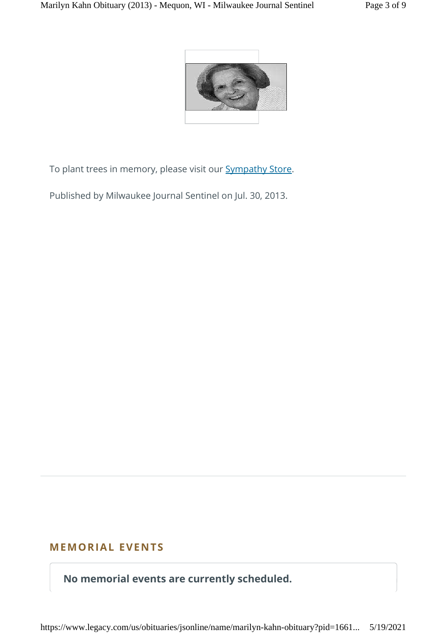

To plant trees in memory, please visit our **Sympathy Store**.

Published by Milwaukee Journal Sentinel on Jul. 30, 2013.

# **MEMORIAL EVENTS**

**No memorial events are currently scheduled.**

https://www.legacy.com/us/obituaries/jsonline/name/marilyn-kahn-obituary?pid=1661... 5/19/2021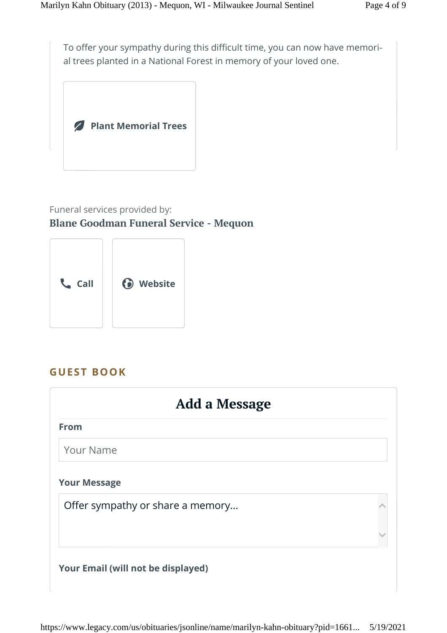To offer your sympathy during this difficult time, you can now have memorial trees planted in a National Forest in memory of your loved one.



# Funeral services provided by: **Blane Goodman Funeral Service - Mequon**



# **GUEST BOOK**

| Add a Message                    |  |
|----------------------------------|--|
| <b>From</b>                      |  |
| <b>Your Name</b>                 |  |
| <b>Your Message</b>              |  |
| Offer sympathy or share a memory |  |
|                                  |  |
|                                  |  |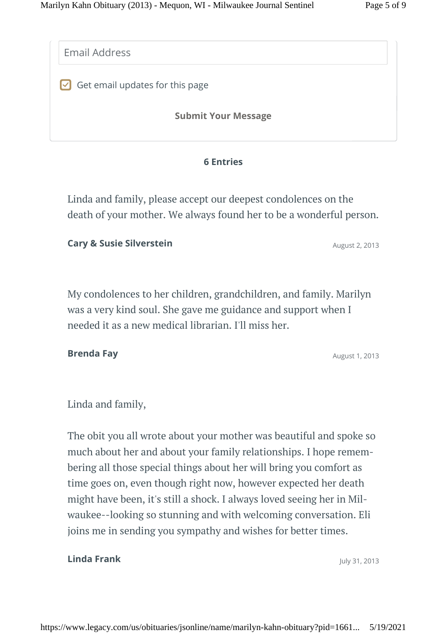Email Address

 $\vee$  Get email updates for this page

**Submit Your Message**

#### **6 Entries**

Linda and family, please accept our deepest condolences on the death of your mother. We always found her to be a wonderful person.

#### **Cary & Susie Silverstein Cary & Susie Silverstein**

My condolences to her children, grandchildren, and family. Marilyn was a very kind soul. She gave me guidance and support when I needed it as a new medical librarian. I'll miss her.

### **Brenda Fay** August 1, 2013

Linda and family,

The obit you all wrote about your mother was beautiful and spoke so much about her and about your family relationships. I hope remembering all those special things about her will bring you comfort as time goes on, even though right now, however expected her death might have been, it's still a shock. I always loved seeing her in Milwaukee--looking so stunning and with welcoming conversation. Eli joins me in sending you sympathy and wishes for better times.

#### **Linda Frank** July 31, 2013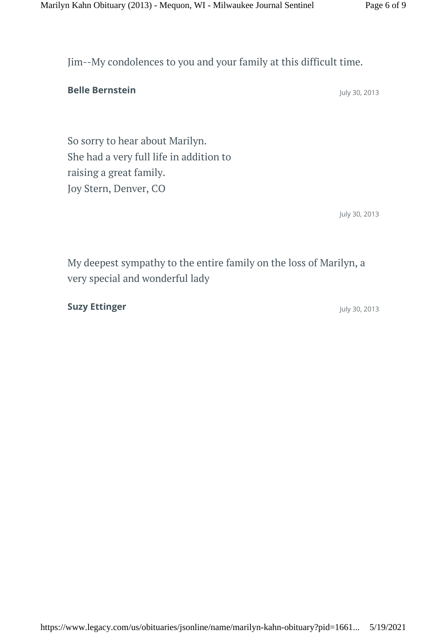Jim--My condolences to you and your family at this difficult time.

**Belle Bernstein** July 30, 2013

So sorry to hear about Marilyn. She had a very full life in addition to raising a great family. Joy Stern, Denver, CO

July 30, 2013

My deepest sympathy to the entire family on the loss of Marilyn, a very special and wonderful lady

**Suzy Ettinger** July 30, 2013